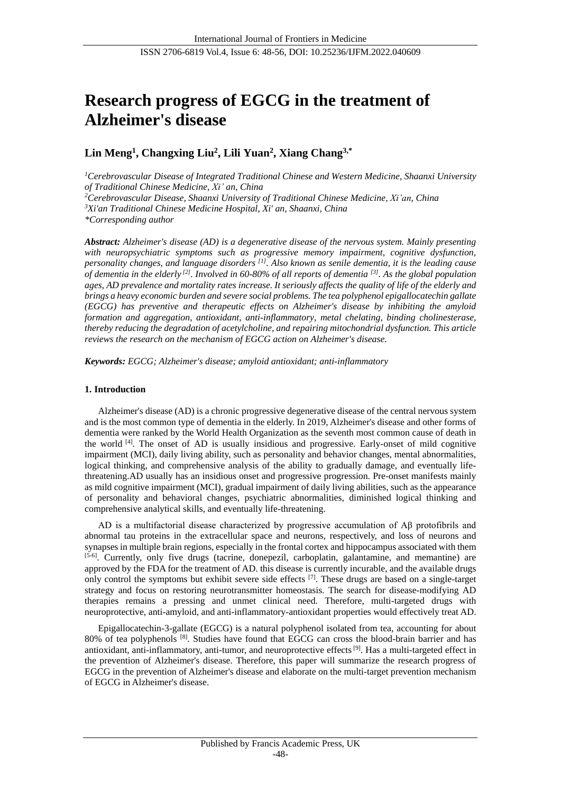# **Research progress of EGCG in the treatment of Alzheimer's disease**

# **Lin Meng<sup>1</sup> , Changxing Liu<sup>2</sup> , Lili Yuan<sup>2</sup> , Xiang Chang3,\***

*<sup>1</sup>Cerebrovascular Disease of Integrated Traditional Chinese and Western Medicine, Shaanxi University of Traditional Chinese Medicine, Xi' an, China*

*<sup>2</sup>Cerebrovascular Disease, Shaanxi University of Traditional Chinese Medicine, Xi'an, China*

*<sup>3</sup>Xi'an Traditional Chinese Medicine Hospital, Xi' an, Shaanxi, China*

*\*Corresponding author*

*Abstract: Alzheimer's disease (AD) is a degenerative disease of the nervous system. Mainly presenting with neuropsychiatric symptoms such as progressive memory impairment, cognitive dysfunction, personality changes, and language disorders [1]. Also known as senile dementia, it is the leading cause of dementia in the elderly [2]. Involved in 60-80% of all reports of dementia [3]. As the global population ages, AD prevalence and mortality rates increase. It seriously affects the quality of life of the elderly and brings a heavy economic burden and severe social problems. The tea polyphenol epigallocatechin gallate (EGCG) has preventive and therapeutic effects on Alzheimer's disease by inhibiting the amyloid formation and aggregation, antioxidant, anti-inflammatory, metal chelating, binding cholinesterase, thereby reducing the degradation of acetylcholine, and repairing mitochondrial dysfunction. This article reviews the research on the mechanism of EGCG action on Alzheimer's disease.*

*Keywords: EGCG; Alzheimer's disease; amyloid antioxidant; anti-inflammatory*

# **1. Introduction**

Alzheimer's disease (AD) is a chronic progressive degenerative disease of the central nervous system and is the most common type of dementia in the elderly. In 2019, Alzheimer's disease and other forms of dementia were ranked by the World Health Organization as the seventh most common cause of death in the world  $[4]$ . The onset of AD is usually insidious and progressive. Early-onset of mild cognitive impairment (MCI), daily living ability, such as personality and behavior changes, mental abnormalities, logical thinking, and comprehensive analysis of the ability to gradually damage, and eventually lifethreatening.AD usually has an insidious onset and progressive progression. Pre-onset manifests mainly as mild cognitive impairment (MCI), gradual impairment of daily living abilities, such as the appearance of personality and behavioral changes, psychiatric abnormalities, diminished logical thinking and comprehensive analytical skills, and eventually life-threatening.

AD is a multifactorial disease characterized by progressive accumulation of Aβ protofibrils and abnormal tau proteins in the extracellular space and neurons, respectively, and loss of neurons and synapses in multiple brain regions, especially in the frontal cortex and hippocampus associated with them [5-6]. Currently, only five drugs (tacrine, donepezil, carboplatin, galantamine, and memantine) are approved by the FDA for the treatment of AD. this disease is currently incurable, and the available drugs only control the symptoms but exhibit severe side effects  $[7]$ . These drugs are based on a single-target strategy and focus on restoring neurotransmitter homeostasis. The search for disease-modifying AD therapies remains a pressing and unmet clinical need. Therefore, multi-targeted drugs with neuroprotective, anti-amyloid, and anti-inflammatory-antioxidant properties would effectively treat AD.

Epigallocatechin-3-gallate (EGCG) is a natural polyphenol isolated from tea, accounting for about 80% of tea polyphenols [8]. Studies have found that EGCG can cross the blood-brain barrier and has antioxidant, anti-inflammatory, anti-tumor, and neuroprotective effects<sup>[9]</sup>. Has a multi-targeted effect in the prevention of Alzheimer's disease. Therefore, this paper will summarize the research progress of EGCG in the prevention of Alzheimer's disease and elaborate on the multi-target prevention mechanism of EGCG in Alzheimer's disease.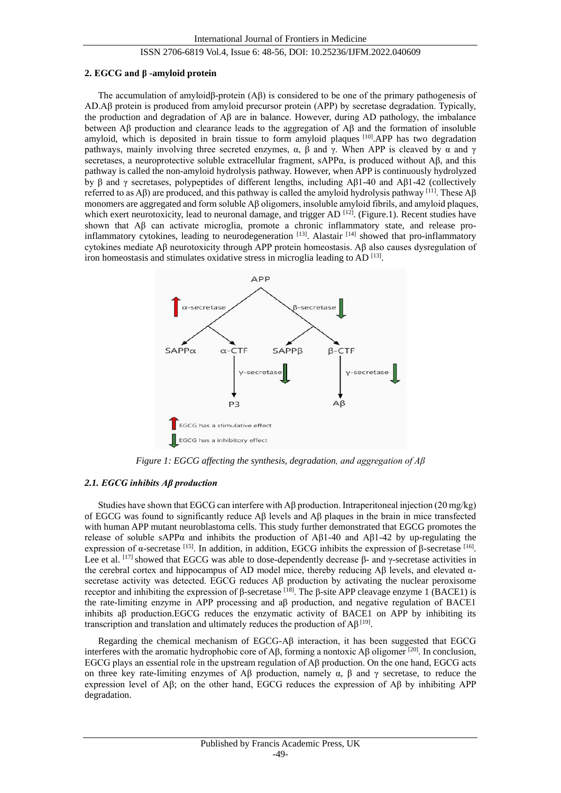#### **2. EGCG and β -amyloid protein**

The accumulation of amyloidβ-protein (Aβ) is considered to be one of the primary pathogenesis of AD.Aβ protein is produced from amyloid precursor protein (APP) by secretase degradation. Typically, the production and degradation of Aβ are in balance. However, during AD pathology, the imbalance between Aβ production and clearance leads to the aggregation of Aβ and the formation of insoluble amyloid, which is deposited in brain tissue to form amyloid plaques [10].APP has two degradation pathways, mainly involving three secreted enzymes,  $\alpha$ ,  $\beta$  and  $\gamma$ . When APP is cleaved by  $\alpha$  and  $\gamma$ secretases, a neuroprotective soluble extracellular fragment, sAPPα, is produced without Aβ, and this pathway is called the non-amyloid hydrolysis pathway. However, when APP is continuously hydrolyzed by β and γ secretases, polypeptides of different lengths, including Aβ1-40 and Aβ1-42 (collectively referred to as Aβ) are produced, and this pathway is called the amyloid hydrolysis pathway [11]. These Aβ monomers are aggregated and form soluble Aβ oligomers, insoluble amyloid fibrils, and amyloid plaques, which exert neurotoxicity, lead to neuronal damage, and trigger AD<sup>[12]</sup>. (Figure.1). Recent studies have shown that Aβ can activate microglia, promote a chronic inflammatory state, and release proinflammatory cytokines, leading to neurodegeneration [13]. Alastair [14] showed that pro-inflammatory cytokines mediate Aβ neurotoxicity through APP protein homeostasis. Aβ also causes dysregulation of iron homeostasis and stimulates oxidative stress in microglia leading to AD<sup>[13]</sup>.



*Figure 1: EGCG affecting the synthesis, degradation, and aggregation of Aβ*

# *2.1. EGCG inhibits Aβ production*

Studies have shown that EGCG can interfere with Aβ production. Intraperitoneal injection (20 mg/kg) of EGCG was found to significantly reduce  $\mathbf{A}\beta$  levels and  $\mathbf{A}\beta$  plaques in the brain in mice transfected with human APP mutant neuroblastoma cells. This study further demonstrated that EGCG promotes the release of soluble sAPPα and inhibits the production of Aβ1-40 and Aβ1-42 by up-regulating the expression of α-secretase [15]. In addition, in addition, EGCG inhibits the expression of β-secretase [16]. Lee et al. <sup>[17]</sup> showed that EGCG was able to dose-dependently decrease β- and γ-secretase activities in the cerebral cortex and hippocampus of AD model mice, thereby reducing Aβ levels, and elevated αsecretase activity was detected. EGCG reduces Aβ production by activating the nuclear peroxisome receptor and inhibiting the expression of β-secretase [18]. The β-site APP cleavage enzyme 1 (BACE1) is the rate-limiting enzyme in APP processing and aβ production, and negative regulation of BACE1 inhibits a $\beta$  production.EGCG reduces the enzymatic activity of BACE1 on APP by inhibiting its transcription and translation and ultimately reduces the production of  $\mathsf{A}\beta^{[19]}$ .

Regarding the chemical mechanism of EGCG-A $\beta$  interaction, it has been suggested that EGCG interferes with the aromatic hydrophobic core of Aβ, forming a nontoxic Aβ oligomer [20]. In conclusion, EGCG plays an essential role in the upstream regulation of Aβ production. On the one hand, EGCG acts on three key rate-limiting enzymes of Aβ production, namely  $\alpha$ ,  $\beta$  and  $\gamma$  secretase, to reduce the expression level of Aβ; on the other hand, EGCG reduces the expression of Aβ by inhibiting APP degradation.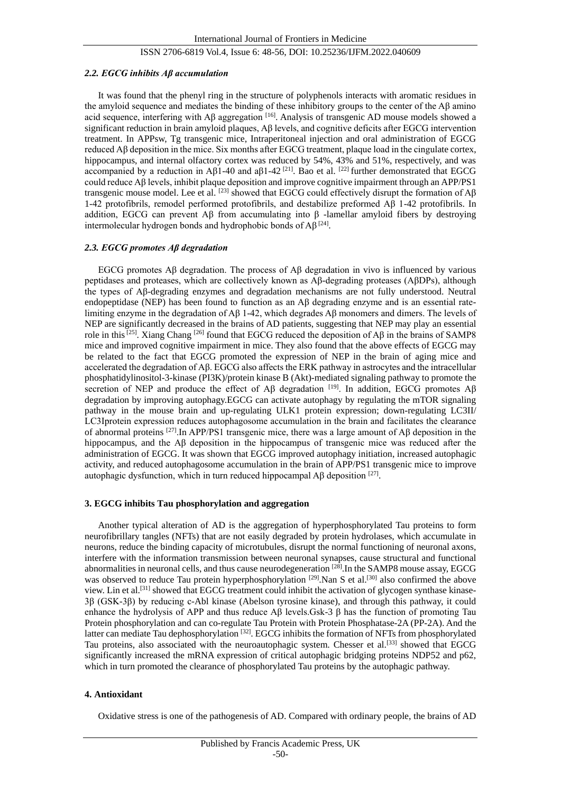#### *2.2. EGCG inhibits Aβ accumulation*

It was found that the phenyl ring in the structure of polyphenols interacts with aromatic residues in the amyloid sequence and mediates the binding of these inhibitory groups to the center of the Aβ amino acid sequence, interfering with A $\beta$  aggregation <sup>[16]</sup>. Analysis of transgenic AD mouse models showed a significant reduction in brain amyloid plaques, Aβ levels, and cognitive deficits after EGCG intervention treatment. In APPsw, Tg transgenic mice, Intraperitoneal injection and oral administration of EGCG reduced Aβ deposition in the mice. Six months after EGCG treatment, plaque load in the cingulate cortex, hippocampus, and internal olfactory cortex was reduced by 54%, 43% and 51%, respectively, and was accompanied by a reduction in Aβ1-40 and aβ1-42<sup>[21]</sup>. Bao et al. <sup>[22]</sup> further demonstrated that EGCG could reduce Aβ levels, inhibit plaque deposition and improve cognitive impairment through an APP/PS1 transgenic mouse model. Lee et al. <sup>[23]</sup> showed that EGCG could effectively disrupt the formation of Aβ 1-42 protofibrils, remodel performed protofibrils, and destabilize preformed Aβ 1-42 protofibrils. In addition, EGCG can prevent Aβ from accumulating into β -lamellar amyloid fibers by destroying intermolecular hydrogen bonds and hydrophobic bonds of  $\mathsf{A}\beta^{[24]}$ .

# *2.3. EGCG promotes Aβ degradation*

EGCG promotes Aβ degradation. The process of Aβ degradation in vivo is influenced by various peptidases and proteases, which are collectively known as Aβ-degrading proteases (AβDPs), although the types of Aβ-degrading enzymes and degradation mechanisms are not fully understood. Neutral endopeptidase (NEP) has been found to function as an Aβ degrading enzyme and is an essential ratelimiting enzyme in the degradation of Aβ 1-42, which degrades Aβ monomers and dimers. The levels of NEP are significantly decreased in the brains of AD patients, suggesting that NEP may play an essential role in this[25]. Xiang Chang [26] found that EGCG reduced the deposition of Aβ in the brains of SAMP8 mice and improved cognitive impairment in mice. They also found that the above effects of EGCG may be related to the fact that EGCG promoted the expression of NEP in the brain of aging mice and accelerated the degradation of Aβ. EGCG also affects the ERK pathway in astrocytes and the intracellular phosphatidylinositol-3-kinase (PI3K)/protein kinase B (Akt)-mediated signaling pathway to promote the secretion of NEP and produce the effect of A $\beta$  degradation  $[19]$ . In addition, EGCG promotes A $\beta$ degradation by improving autophagy.EGCG can activate autophagy by regulating the mTOR signaling pathway in the mouse brain and up-regulating ULK1 protein expression; down-regulating LC3II/ LC3Ⅰprotein expression reduces autophagosome accumulation in the brain and facilitates the clearance of abnormal proteins [27].In APP/PS1 transgenic mice, there was a large amount of Aβ deposition in the hippocampus, and the Aβ deposition in the hippocampus of transgenic mice was reduced after the administration of EGCG. It was shown that EGCG improved autophagy initiation, increased autophagic activity, and reduced autophagosome accumulation in the brain of APP/PS1 transgenic mice to improve autophagic dysfunction, which in turn reduced hippocampal A $\beta$  deposition  $^{[27]}$ .

#### **3. EGCG inhibits Tau phosphorylation and aggregation**

Another typical alteration of AD is the aggregation of hyperphosphorylated Tau proteins to form neurofibrillary tangles (NFTs) that are not easily degraded by protein hydrolases, which accumulate in neurons, reduce the binding capacity of microtubules, disrupt the normal functioning of neuronal axons, interfere with the information transmission between neuronal synapses, cause structural and functional abnormalities in neuronal cells, and thus cause neurodegeneration [28].In the SAMP8 mouse assay, EGCG was observed to reduce Tau protein hyperphosphorylation <sup>[29]</sup>.Nan S et al.<sup>[30]</sup> also confirmed the above view. Lin et al.[31] showed that EGCG treatment could inhibit the activation of glycogen synthase kinase-3β (GSK-3β) by reducing c-Abl kinase (Abelson tyrosine kinase), and through this pathway, it could enhance the hydrolysis of APP and thus reduce Aβ levels.Gsk-3 β has the function of promoting Tau Protein phosphorylation and can co-regulate Tau Protein with Protein Phosphatase-2A (PP-2A). And the latter can mediate Tau dephosphorylation [32]. EGCG inhibits the formation of NFTs from phosphorylated Tau proteins, also associated with the neuroautophagic system. Chesser et al.<sup>[33]</sup> showed that EGCG significantly increased the mRNA expression of critical autophagic bridging proteins NDP52 and p62, which in turn promoted the clearance of phosphorylated Tau proteins by the autophagic pathway.

#### **4. Antioxidant**

Oxidative stress is one of the pathogenesis of AD. Compared with ordinary people, the brains of AD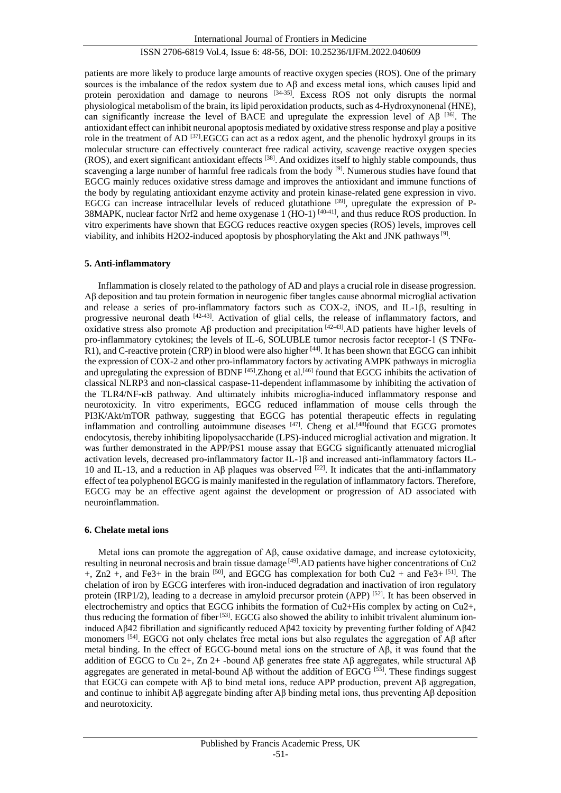patients are more likely to produce large amounts of reactive oxygen species (ROS). One of the primary sources is the imbalance of the redox system due to  $\mathbf{A}\beta$  and excess metal ions, which causes lipid and protein peroxidation and damage to neurons <sup>[34-35]</sup>. Excess ROS not only disrupts the normal physiological metabolism of the brain, its lipid peroxidation products, such as 4-Hydroxynonenal (HNE), can significantly increase the level of BACE and upregulate the expression level of A $\beta$  [36]. The antioxidant effect can inhibit neuronal apoptosis mediated by oxidative stress response and play a positive role in the treatment of AD<sup>[37]</sup>.EGCG can act as a redox agent, and the phenolic hydroxyl groups in its molecular structure can effectively counteract free radical activity, scavenge reactive oxygen species (ROS), and exert significant antioxidant effects [38]. And oxidizes itself to highly stable compounds, thus scavenging a large number of harmful free radicals from the body  $[9]$ . Numerous studies have found that EGCG mainly reduces oxidative stress damage and improves the antioxidant and immune functions of the body by regulating antioxidant enzyme activity and protein kinase-related gene expression in vivo. EGCG can increase intracellular levels of reduced glutathione  $[39]$ , upregulate the expression of P-38MAPK, nuclear factor Nrf2 and heme oxygenase 1 (HO-1) [40-41], and thus reduce ROS production. In vitro experiments have shown that EGCG reduces reactive oxygen species (ROS) levels, improves cell viability, and inhibits H2O2-induced apoptosis by phosphorylating the Akt and JNK pathways<sup>[9]</sup>.

#### **5. Anti-inflammatory**

Inflammation is closely related to the pathology of AD and plays a crucial role in disease progression. Aβ deposition and tau protein formation in neurogenic fiber tangles cause abnormal microglial activation and release a series of pro-inflammatory factors such as COX-2, iNOS, and IL-1β, resulting in progressive neuronal death [42-43]. Activation of glial cells, the release of inflammatory factors, and oxidative stress also promote Aβ production and precipitation [42-43].AD patients have higher levels of pro-inflammatory cytokines; the levels of IL-6, SOLUBLE tumor necrosis factor receptor-1 (S TNFα-R1), and C-reactive protein (CRP) in blood were also higher [44]. It has been shown that EGCG can inhibit the expression of COX-2 and other pro-inflammatory factors by activating AMPK pathways in microglia and upregulating the expression of BDNF  $[45]$ . Zhong et al.<sup>[46]</sup> found that EGCG inhibits the activation of classical NLRP3 and non-classical caspase-11-dependent inflammasome by inhibiting the activation of the TLR4/NF-κB pathway. And ultimately inhibits microglia-induced inflammatory response and neurotoxicity. In vitro experiments, EGCG reduced inflammation of mouse cells through the PI3K/Akt/mTOR pathway, suggesting that EGCG has potential therapeutic effects in regulating inflammation and controlling autoimmune diseases [47]. Cheng et al.<sup>[48]</sup>found that EGCG promotes endocytosis, thereby inhibiting lipopolysaccharide (LPS)-induced microglial activation and migration. It was further demonstrated in the APP/PS1 mouse assay that EGCG significantly attenuated microglial activation levels, decreased pro-inflammatory factor IL-1β and increased anti-inflammatory factors IL-10 and IL-13, and a reduction in Aβ plaques was observed [22]. It indicates that the anti-inflammatory effect of tea polyphenol EGCG is mainly manifested in the regulation of inflammatory factors. Therefore, EGCG may be an effective agent against the development or progression of AD associated with neuroinflammation.

#### **6. Chelate metal ions**

Metal ions can promote the aggregation of  $\mathsf{A}\beta$ , cause oxidative damage, and increase cytotoxicity, resulting in neuronal necrosis and brain tissue damage <sup>[49]</sup>. AD patients have higher concentrations of Cu<sub>2</sub>  $+$ , Zn2  $+$ , and Fe3+ in the brain [50], and EGCG has complexation for both Cu2  $+$  and Fe3+ [51]. The chelation of iron by EGCG interferes with iron-induced degradation and inactivation of iron regulatory protein (IRP1/2), leading to a decrease in amyloid precursor protein (APP) [52]. It has been observed in electrochemistry and optics that EGCG inhibits the formation of Cu2+His complex by acting on Cu2+, thus reducing the formation of fiber<sup>[53]</sup>. EGCG also showed the ability to inhibit trivalent aluminum ioninduced Aβ42 fibrillation and significantly reduced Aβ42 toxicity by preventing further folding of Aβ42 monomers [54]. EGCG not only chelates free metal ions but also regulates the aggregation of Aβ after metal binding. In the effect of EGCG-bound metal ions on the structure of Aβ, it was found that the addition of EGCG to Cu 2+, Zn 2+ -bound Aβ generates free state Aβ aggregates, while structural Aβ aggregates are generated in metal-bound  $\overrightarrow{AB}$  without the addition of EGCG [55]. These findings suggest that EGCG can compete with Aβ to bind metal ions, reduce APP production, prevent Aβ aggregation, and continue to inhibit Aβ aggregate binding after Aβ binding metal ions, thus preventing  $\beta\beta$  deposition and neurotoxicity.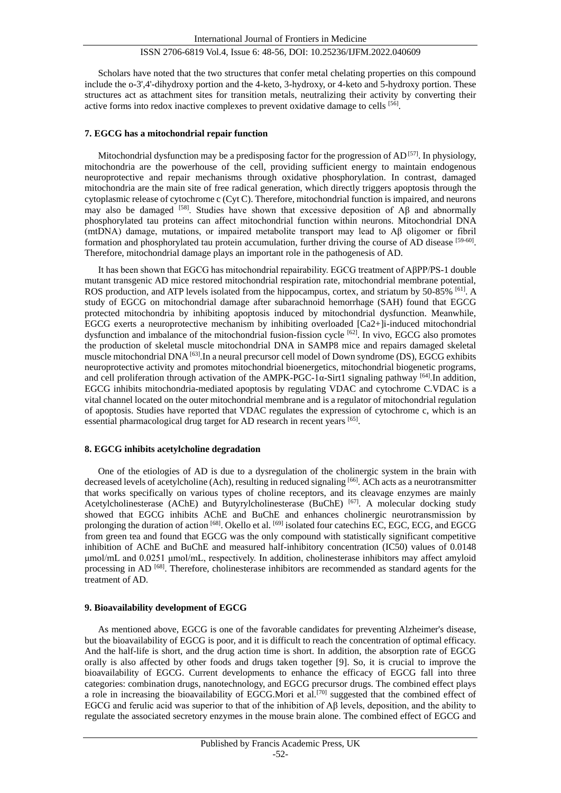Scholars have noted that the two structures that confer metal chelating properties on this compound include the o-3',4'-dihydroxy portion and the 4-keto, 3-hydroxy, or 4-keto and 5-hydroxy portion. These structures act as attachment sites for transition metals, neutralizing their activity by converting their active forms into redox inactive complexes to prevent oxidative damage to cells [56].

#### **7. EGCG has a mitochondrial repair function**

Mitochondrial dysfunction may be a predisposing factor for the progression of  $AD^{[57]}$ . In physiology, mitochondria are the powerhouse of the cell, providing sufficient energy to maintain endogenous neuroprotective and repair mechanisms through oxidative phosphorylation. In contrast, damaged mitochondria are the main site of free radical generation, which directly triggers apoptosis through the cytoplasmic release of cytochrome c (Cyt C). Therefore, mitochondrial function is impaired, and neurons may also be damaged <sup>[58]</sup>. Studies have shown that excessive deposition of A $\beta$  and abnormally phosphorylated tau proteins can affect mitochondrial function within neurons. Mitochondrial DNA (mtDNA) damage, mutations, or impaired metabolite transport may lead to Aβ oligomer or fibril formation and phosphorylated tau protein accumulation, further driving the course of AD disease [59-60]. Therefore, mitochondrial damage plays an important role in the pathogenesis of AD.

It has been shown that EGCG has mitochondrial repairability. EGCG treatment of AβPP/PS-1 double mutant transgenic AD mice restored mitochondrial respiration rate, mitochondrial membrane potential, ROS production, and ATP levels isolated from the hippocampus, cortex, and striatum by 50-85% [61]. A study of EGCG on mitochondrial damage after subarachnoid hemorrhage (SAH) found that EGCG protected mitochondria by inhibiting apoptosis induced by mitochondrial dysfunction. Meanwhile, EGCG exerts a neuroprotective mechanism by inhibiting overloaded [Ca2+]i-induced mitochondrial dysfunction and imbalance of the mitochondrial fusion-fission cycle <sup>[62]</sup>. In vivo, EGCG also promotes the production of skeletal muscle mitochondrial DNA in SAMP8 mice and repairs damaged skeletal muscle mitochondrial DNA [63].In a neural precursor cell model of Down syndrome (DS), EGCG exhibits neuroprotective activity and promotes mitochondrial bioenergetics, mitochondrial biogenetic programs, and cell proliferation through activation of the AMPK-PGC-1 $\alpha$ -Sirt1 signaling pathway [64]. In addition, EGCG inhibits mitochondria-mediated apoptosis by regulating VDAC and cytochrome C.VDAC is a vital channel located on the outer mitochondrial membrane and is a regulator of mitochondrial regulation of apoptosis. Studies have reported that VDAC regulates the expression of cytochrome c, which is an essential pharmacological drug target for AD research in recent years [65].

#### **8. EGCG inhibits acetylcholine degradation**

One of the etiologies of AD is due to a dysregulation of the cholinergic system in the brain with decreased levels of acetylcholine (Ach), resulting in reduced signaling [66]. ACh acts as a neurotransmitter that works specifically on various types of choline receptors, and its cleavage enzymes are mainly Acetylcholinesterase (AChE) and Butyrylcholinesterase (BuChE)<sup>[67]</sup>. A molecular docking study showed that EGCG inhibits AChE and BuChE and enhances cholinergic neurotransmission by prolonging the duration of action [68]. Okello et al. [69] isolated four catechins EC, EGC, ECG, and EGCG from green tea and found that EGCG was the only compound with statistically significant competitive inhibition of AChE and BuChE and measured half-inhibitory concentration (IC50) values of 0.0148 μmol/mL and 0.0251 μmol/mL, respectively. In addition, cholinesterase inhibitors may affect amyloid processing in AD<sup>[68]</sup>. Therefore, cholinesterase inhibitors are recommended as standard agents for the treatment of AD.

# **9. Bioavailability development of EGCG**

As mentioned above, EGCG is one of the favorable candidates for preventing Alzheimer's disease, but the bioavailability of EGCG is poor, and it is difficult to reach the concentration of optimal efficacy. And the half-life is short, and the drug action time is short. In addition, the absorption rate of EGCG orally is also affected by other foods and drugs taken together [9]. So, it is crucial to improve the bioavailability of EGCG. Current developments to enhance the efficacy of EGCG fall into three categories: combination drugs, nanotechnology, and EGCG precursor drugs. The combined effect plays a role in increasing the bioavailability of EGCG.Mori et al.<sup>[70]</sup> suggested that the combined effect of EGCG and ferulic acid was superior to that of the inhibition of Aβ levels, deposition, and the ability to regulate the associated secretory enzymes in the mouse brain alone. The combined effect of EGCG and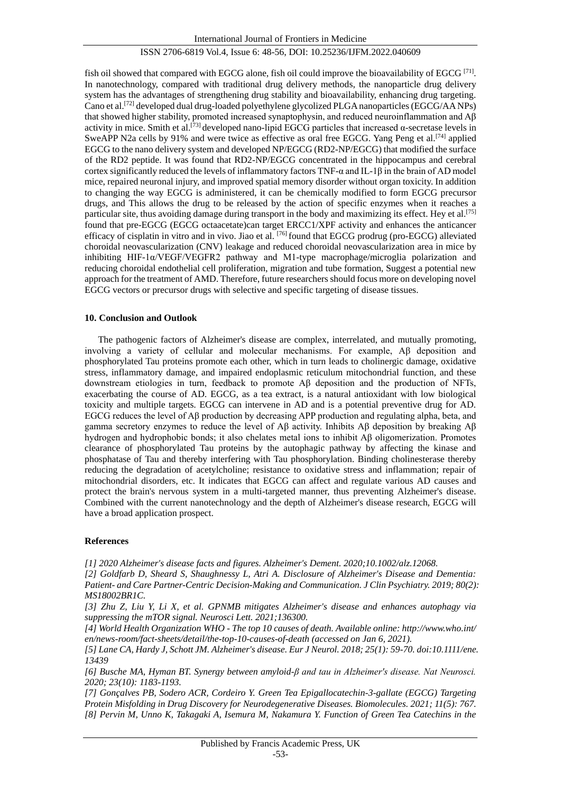fish oil showed that compared with EGCG alone, fish oil could improve the bioavailability of EGCG  $[71]$ . In nanotechnology, compared with traditional drug delivery methods, the nanoparticle drug delivery system has the advantages of strengthening drug stability and bioavailability, enhancing drug targeting. Cano et al.[72] developed dual drug-loaded polyethylene glycolized PLGA nanoparticles (EGCG/AA NPs) that showed higher stability, promoted increased synaptophysin, and reduced neuroinflammation and Aβ activity in mice. Smith et al.[73] developed nano-lipid EGCG particles that increased α-secretase levels in SweAPP N2a cells by 91% and were twice as effective as oral free EGCG. Yang Peng et al.<sup>[74]</sup> applied EGCG to the nano delivery system and developed NP/EGCG (RD2-NP/EGCG) that modified the surface of the RD2 peptide. It was found that RD2-NP/EGCG concentrated in the hippocampus and cerebral cortex significantly reduced the levels of inflammatory factors TNF-α and IL-1β in the brain of AD model mice, repaired neuronal injury, and improved spatial memory disorder without organ toxicity. In addition to changing the way EGCG is administered, it can be chemically modified to form EGCG precursor drugs, and This allows the drug to be released by the action of specific enzymes when it reaches a particular site, thus avoiding damage during transport in the body and maximizing its effect. Hey et al.[75] found that pre-EGCG (EGCG octaacetate)can target ERCC1/XPF activity and enhances the anticancer efficacy of cisplatin in vitro and in vivo. Jiao et al. [76] found that EGCG prodrug (pro-EGCG) alleviated choroidal neovascularization (CNV) leakage and reduced choroidal neovascularization area in mice by inhibiting HIF-1α/VEGF/VEGFR2 pathway and M1-type macrophage/microglia polarization and reducing choroidal endothelial cell proliferation, migration and tube formation, Suggest a potential new approach for the treatment of AMD. Therefore, future researchers should focus more on developing novel EGCG vectors or precursor drugs with selective and specific targeting of disease tissues.

#### **10. Conclusion and Outlook**

The pathogenic factors of Alzheimer's disease are complex, interrelated, and mutually promoting, involving a variety of cellular and molecular mechanisms. For example, Aβ deposition and phosphorylated Tau proteins promote each other, which in turn leads to cholinergic damage, oxidative stress, inflammatory damage, and impaired endoplasmic reticulum mitochondrial function, and these downstream etiologies in turn, feedback to promote Aβ deposition and the production of NFTs, exacerbating the course of AD. EGCG, as a tea extract, is a natural antioxidant with low biological toxicity and multiple targets. EGCG can intervene in AD and is a potential preventive drug for AD. EGCG reduces the level of Aβ production by decreasing APP production and regulating alpha, beta, and gamma secretory enzymes to reduce the level of Aβ activity. Inhibits Aβ deposition by breaking Aβ hydrogen and hydrophobic bonds; it also chelates metal ions to inhibit Aβ oligomerization. Promotes clearance of phosphorylated Tau proteins by the autophagic pathway by affecting the kinase and phosphatase of Tau and thereby interfering with Tau phosphorylation. Binding cholinesterase thereby reducing the degradation of acetylcholine; resistance to oxidative stress and inflammation; repair of mitochondrial disorders, etc. It indicates that EGCG can affect and regulate various AD causes and protect the brain's nervous system in a multi-targeted manner, thus preventing Alzheimer's disease. Combined with the current nanotechnology and the depth of Alzheimer's disease research, EGCG will have a broad application prospect.

# **References**

*[1] 2020 Alzheimer's disease facts and figures. Alzheimer's Dement. 2020;10.1002/alz.12068.*

*[2] Goldfarb D, Sheard S, Shaughnessy L, Atri A. Disclosure of Alzheimer's Disease and Dementia: Patient- and Care Partner-Centric Decision-Making and Communication. J Clin Psychiatry. 2019; 80(2): MS18002BR1C.* 

*[3] Zhu Z, Liu Y, Li X, et al. GPNMB mitigates Alzheimer's disease and enhances autophagy via suppressing the mTOR signal. Neurosci Lett. 2021;136300.* 

*[4] World Health Organization WHO - The top 10 causes of death. Available online: http://www.who.int/ en/news-room/fact-sheets/detail/the-top-10-causes-of-death (accessed on Jan 6, 2021).*

*[5] Lane CA, Hardy J, Schott JM. Alzheimer's disease. Eur J Neurol. 2018; 25(1): 59-70. doi:10.1111/ene. 13439*

*[6] Busche MA, Hyman BT. Synergy between amyloid-β and tau in Alzheimer's disease. Nat Neurosci. 2020; 23(10): 1183-1193.* 

*[7] Gonçalves PB, Sodero ACR, Cordeiro Y. Green Tea Epigallocatechin-3-gallate (EGCG) Targeting Protein Misfolding in Drug Discovery for Neurodegenerative Diseases. Biomolecules. 2021; 11(5): 767. [8] Pervin M, Unno K, Takagaki A, Isemura M, Nakamura Y. Function of Green Tea Catechins in the*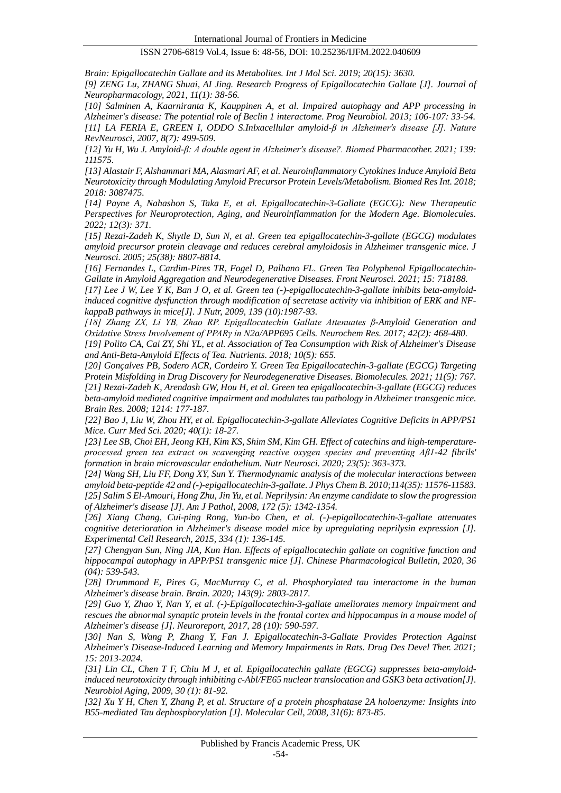*Brain: Epigallocatechin Gallate and its Metabolites. Int J Mol Sci. 2019; 20(15): 3630.* 

*[9] ZENG Lu, ZHANG Shuai, AI Jing. Research Progress of Epigallocatechin Gallate [J]. Journal of Neuropharmacology, 2021, 11(1): 38-56.*

*[10] Salminen A, Kaarniranta K, Kauppinen A, et al. Impaired autophagy and APP processing in Alzheimer's disease: The potential role of Beclin 1 interactome. Prog Neurobiol. 2013; 106-107: 33-54. [11] LA FERIA E, GREEN I, ODDO S.Inlxacellular amyloid-β in Alzheimer's disease [J]. Nature RevNeurosci, 2007, 8(7): 499-509.*

*[12] Yu H, Wu J. Amyloid-β: A double agent in Alzheimer's disease?. Biomed Pharmacother. 2021; 139: 111575.*

*[13] Alastair F, Alshammari MA, Alasmari AF, et al. Neuroinflammatory Cytokines Induce Amyloid Beta Neurotoxicity through Modulating Amyloid Precursor Protein Levels/Metabolism. Biomed Res Int. 2018; 2018: 3087475.*

*[14] Payne A, Nahashon S, Taka E, et al. Epigallocatechin-3-Gallate (EGCG): New Therapeutic Perspectives for Neuroprotection, Aging, and Neuroinflammation for the Modern Age. Biomolecules. 2022; 12(3): 371.*

*[15] Rezai-Zadeh K, Shytle D, Sun N, et al. Green tea epigallocatechin-3-gallate (EGCG) modulates amyloid precursor protein cleavage and reduces cerebral amyloidosis in Alzheimer transgenic mice. J Neurosci. 2005; 25(38): 8807-8814.*

*[16] Fernandes L, Cardim-Pires TR, Fogel D, Palhano FL. Green Tea Polyphenol Epigallocatechin-Gallate in Amyloid Aggregation and Neurodegenerative Diseases. Front Neurosci. 2021; 15: 718188.*

*[17] Lee J W, Lee Y K, Ban J O, et al. Green tea (-)-epigallocatechin-3-gallate inhibits beta-amyloidinduced cognitive dysfunction through modification of secretase activity via inhibition of ERK and NFkappaB pathways in mice[J]. J Nutr, 2009, 139 (10):1987-93.*

*[18] Zhang ZX, Li YB, Zhao RP. Epigallocatechin Gallate Attenuates β-Amyloid Generation and Oxidative Stress Involvement of PPARγ in N2a/APP695 Cells. Neurochem Res. 2017; 42(2): 468-480.* 

*[19] Polito CA, Cai ZY, Shi YL, et al. Association of Tea Consumption with Risk of Alzheimer's Disease and Anti-Beta-Amyloid Effects of Tea. Nutrients. 2018; 10(5): 655.*

*[20] Gonçalves PB, Sodero ACR, Cordeiro Y. Green Tea Epigallocatechin-3-gallate (EGCG) Targeting Protein Misfolding in Drug Discovery for Neurodegenerative Diseases. Biomolecules. 2021; 11(5): 767. [21] Rezai-Zadeh K, Arendash GW, Hou H, et al. Green tea epigallocatechin-3-gallate (EGCG) reduces beta-amyloid mediated cognitive impairment and modulates tau pathology in Alzheimer transgenic mice. Brain Res. 2008; 1214: 177-187.*

*[22] Bao J, Liu W, Zhou HY, et al. Epigallocatechin-3-gallate Alleviates Cognitive Deficits in APP/PS1 Mice. Curr Med Sci. 2020; 40(1): 18-27.* 

*[23] Lee SB, Choi EH, Jeong KH, Kim KS, Shim SM, Kim GH. Effect of catechins and high-temperatureprocessed green tea extract on scavenging reactive oxygen species and preventing Aβ1-42 fibrils' formation in brain microvascular endothelium. Nutr Neurosci. 2020; 23(5): 363-373.*

*[24] Wang SH, Liu FF, Dong XY, Sun Y. Thermodynamic analysis of the molecular interactions between amyloid beta-peptide 42 and (-)-epigallocatechin-3-gallate. J Phys Chem B. 2010;114(35): 11576-11583. [25] Salim S El-Amouri, Hong Zhu, Jin Yu, et al. Neprilysin: An enzyme candidate to slow the progression of Alzheimer's disease [J]. Am J Pathol, 2008, 172 (5): 1342-1354.* 

*[26] Xiang Chang, Cui-ping Rong, Yun-bo Chen, et al. (-)-epigallocatechin-3-gallate attenuates cognitive deterioration in Alzheimer's disease model mice by upregulating neprilysin expression [J]. Experimental Cell Research, 2015, 334 (1): 136-145.*

*[27] Chengyan Sun, Ning JIA, Kun Han. Effects of epigallocatechin gallate on cognitive function and hippocampal autophagy in APP/PS1 transgenic mice [J]. Chinese Pharmacological Bulletin, 2020, 36 (04): 539-543.*

*[28] Drummond E, Pires G, MacMurray C, et al. Phosphorylated tau interactome in the human Alzheimer's disease brain. Brain. 2020; 143(9): 2803-2817.*

*[29] Guo Y, Zhao Y, Nan Y, et al. (-)-Epigallocatechin-3-gallate ameliorates memory impairment and rescues the abnormal synaptic protein levels in the frontal cortex and hippocampus in a mouse model of Alzheimer's disease [J]. Neuroreport, 2017, 28 (10): 590-597.*

*[30] Nan S, Wang P, Zhang Y, Fan J. Epigallocatechin-3-Gallate Provides Protection Against Alzheimer's Disease-Induced Learning and Memory Impairments in Rats. Drug Des Devel Ther. 2021; 15: 2013-2024.*

*[31] Lin CL, Chen T F, Chiu M J, et al. Epigallocatechin gallate (EGCG) suppresses beta-amyloidinduced neurotoxicity through inhibiting c-Abl/FE65 nuclear translocation and GSK3 beta activation[J]. Neurobiol Aging, 2009, 30 (1): 81-92.*

*[32] Xu Y H, Chen Y, Zhang P, et al. Structure of a protein phosphatase 2A holoenzyme: Insights into B55-mediated Tau dephosphorylation [J]. Molecular Cell, 2008, 31(6): 873-85.*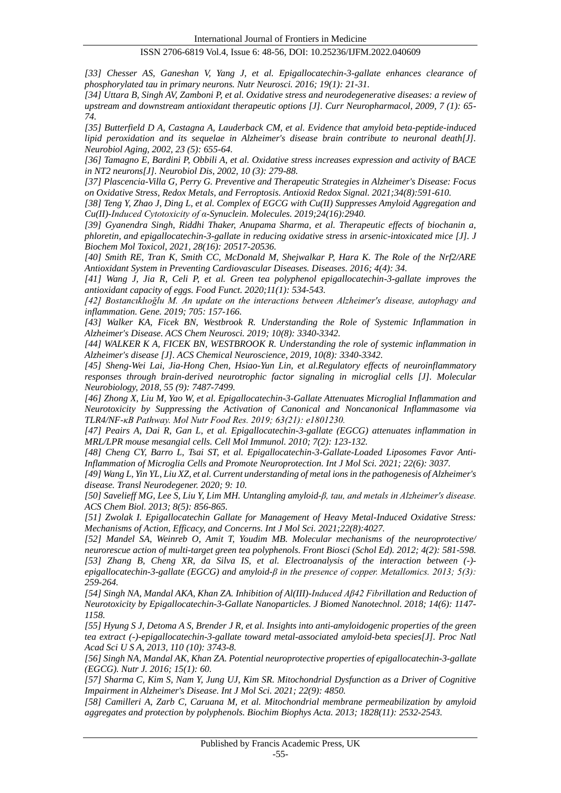*[33] Chesser AS, Ganeshan V, Yang J, et al. Epigallocatechin-3-gallate enhances clearance of phosphorylated tau in primary neurons. Nutr Neurosci. 2016; 19(1): 21-31.* 

*[34] Uttara B, Singh AV, Zamboni P, et al. Oxidative stress and neurodegenerative diseases: a review of upstream and downstream antioxidant therapeutic options [J]. Curr Neuropharmacol, 2009, 7 (1): 65- 74.*

*[35] Butterfield D A, Castagna A, Lauderback CM, et al. Evidence that amyloid beta-peptide-induced lipid peroxidation and its sequelae in Alzheimer's disease brain contribute to neuronal death[J]. Neurobiol Aging, 2002, 23 (5): 655-64.*

*[36] Tamagno E, Bardini P, Obbili A, et al. Oxidative stress increases expression and activity of BACE in NT2 neurons[J]. Neurobiol Dis, 2002, 10 (3): 279-88.*

*[37] Plascencia-Villa G, Perry G. Preventive and Therapeutic Strategies in Alzheimer's Disease: Focus on Oxidative Stress, Redox Metals, and Ferroptosis. Antioxid Redox Signal. 2021;34(8):591-610.*

*[38] Teng Y, Zhao J, Ding L, et al. Complex of EGCG with Cu(II) Suppresses Amyloid Aggregation and Cu(II)-Induced Cytotoxicity of α-Synuclein. Molecules. 2019;24(16):2940.* 

*[39] Gyanendra Singh, Riddhi Thaker, Anupama Sharma, et al. Therapeutic effects of biochanin a, phloretin, and epigallocatechin-3-gallate in reducing oxidative stress in arsenic-intoxicated mice [J]. J Biochem Mol Toxicol, 2021, 28(16): 20517-20536.* 

*[40] Smith RE, Tran K, Smith CC, McDonald M, Shejwalkar P, Hara K. The Role of the Nrf2/ARE Antioxidant System in Preventing Cardiovascular Diseases. Diseases. 2016; 4(4): 34.*

*[41] Wang J, Jia R, Celi P, et al. Green tea polyphenol epigallocatechin-3-gallate improves the antioxidant capacity of eggs. Food Funct. 2020;11(1): 534-543.*

*[42] Bostancıklıoğlu M. An update on the interactions between Alzheimer's disease, autophagy and inflammation. Gene. 2019; 705: 157-166.*

*[43] Walker KA, Ficek BN, Westbrook R. Understanding the Role of Systemic Inflammation in Alzheimer's Disease. ACS Chem Neurosci. 2019; 10(8): 3340-3342.* 

*[44] WALKER K A, FICEK BN, WESTBROOK R. Understanding the role of systemic inflammation in Alzheimer's disease [J]. ACS Chemical Neuroscience, 2019, 10(8): 3340-3342.*

*[45] Sheng-Wei Lai, Jia-Hong Chen, Hsiao-Yun Lin, et al.Regulatory effects of neuroinflammatory responses through brain-derived neurotrophic factor signaling in microglial cells [J]. Molecular Neurobiology, 2018, 55 (9): 7487-7499.* 

*[46] Zhong X, Liu M, Yao W, et al. Epigallocatechin-3-Gallate Attenuates Microglial Inflammation and Neurotoxicity by Suppressing the Activation of Canonical and Noncanonical Inflammasome via TLR4/NF-κB Pathway. Mol Nutr Food Res. 2019; 63(21): e1801230.*

*[47] Peairs A, Dai R, Gan L, et al. Epigallocatechin-3-gallate (EGCG) attenuates inflammation in MRL/LPR mouse mesangial cells. Cell Mol Immunol. 2010; 7(2): 123-132.*

*[48] Cheng CY, Barro L, Tsai ST, et al. Epigallocatechin-3-Gallate-Loaded Liposomes Favor Anti-Inflammation of Microglia Cells and Promote Neuroprotection. Int J Mol Sci. 2021; 22(6): 3037.*

*[49] Wang L, Yin YL, Liu XZ, et al. Current understanding of metal ions in the pathogenesis of Alzheimer's disease. Transl Neurodegener. 2020; 9: 10.* 

*[50] Savelieff MG, Lee S, Liu Y, Lim MH. Untangling amyloid-β, tau, and metals in Alzheimer's disease. ACS Chem Biol. 2013; 8(5): 856-865.* 

*[51] Zwolak I. Epigallocatechin Gallate for Management of Heavy Metal-Induced Oxidative Stress: Mechanisms of Action, Efficacy, and Concerns. Int J Mol Sci. 2021;22(8):4027.*

*[52] Mandel SA, Weinreb O, Amit T, Youdim MB. Molecular mechanisms of the neuroprotective/ neurorescue action of multi-target green tea polyphenols. Front Biosci (Schol Ed). 2012; 4(2): 581-598. [53] Zhang B, Cheng XR, da Silva IS, et al. Electroanalysis of the interaction between (-) epigallocatechin-3-gallate (EGCG) and amyloid-β in the presence of copper. Metallomics. 2013; 5(3): 259-264.*

*[54] Singh NA, Mandal AKA, Khan ZA. Inhibition of Al(III)-Induced Aβ42 Fibrillation and Reduction of Neurotoxicity by Epigallocatechin-3-Gallate Nanoparticles. J Biomed Nanotechnol. 2018; 14(6): 1147- 1158.*

*[55] Hyung S J, Detoma A S, Brender J R, et al. Insights into anti-amyloidogenic properties of the green tea extract (-)-epigallocatechin-3-gallate toward metal-associated amyloid-beta species[J]. Proc Natl Acad Sci U S A, 2013, 110 (10): 3743-8.*

*[56] Singh NA, Mandal AK, Khan ZA. Potential neuroprotective properties of epigallocatechin-3-gallate (EGCG). Nutr J. 2016; 15(1): 60.*

*[57] Sharma C, Kim S, Nam Y, Jung UJ, Kim SR. Mitochondrial Dysfunction as a Driver of Cognitive Impairment in Alzheimer's Disease. Int J Mol Sci. 2021; 22(9): 4850.*

*[58] Camilleri A, Zarb C, Caruana M, et al. Mitochondrial membrane permeabilization by amyloid aggregates and protection by polyphenols. Biochim Biophys Acta. 2013; 1828(11): 2532-2543.*